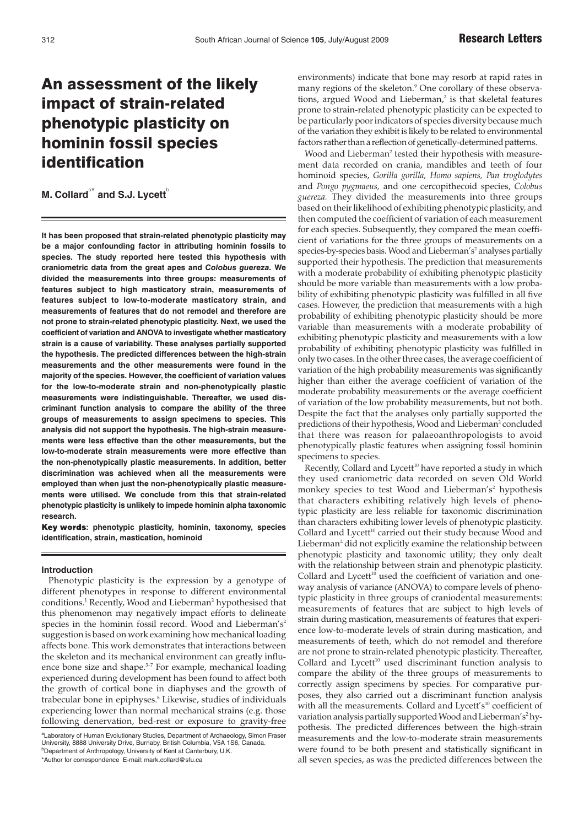# An assessment of the likely impact of strain-related phenotypic plasticity on hominin fossil species identification

**M. Collard**<sup>a\*</sup> and S.J. Lycett<sup>b</sup>

**It has been proposed that strain-related phenotypic plasticity may be a major confounding factor in attributing hominin fossils to species. The study reported here tested this hypothesis with craniometric data from the great apes and** *Colobus guereza.* **We divided the measurements into three groups: measurements of features subject to high masticatory strain, measurements of features subject to low-to-moderate masticatory strain, and measurements of features that do not remodel and therefore are not prone to strain-related phenotypic plasticity. Next, we used the coefficient of variation and ANOVA to investigate whether masticatory strain is a cause of variability. These analyses partially supported the hypothesis. The predicted differences between the high-strain measurements and the other measurements were found in the majority of the species. However, the coefficient of variation values for the low-to-moderate strain and non-phenotypically plastic measurements were indistinguishable. Thereafter, we used discriminant function analysis to compare the ability of the three groups of measurements to assign specimens to species. This analysis did not support the hypothesis. The high-strain measurements were less effective than the other measurements, but the low-to-moderate strain measurements were more effective than the non-phenotypically plastic measurements. In addition, better discrimination was achieved when all the measurements were employed than when just the non-phenotypically plastic measurements were utilised. We conclude from this that strain-related phenotypic plasticity is unlikely to impede hominin alpha taxonomic research.**

Key words: phenotypic plasticity, hominin, taxonomy, species **identification, strain, mastication, hominoid**

### **Introduction**

Phenotypic plasticity is the expression by a genotype of different phenotypes in response to different environmental conditions.<sup>1</sup> Recently, Wood and Lieberman<sup>2</sup> hypothesised that this phenomenon may negatively impact efforts to delineate species in the hominin fossil record. Wood and Lieberman's<sup>2</sup> suggestion is based on work examining how mechanical loading affects bone. This work demonstrates that interactions between the skeleton and its mechanical environment can greatly influence bone size and shape.<sup>3-7</sup> For example, mechanical loading experienced during development has been found to affect both the growth of cortical bone in diaphyses and the growth of trabecular bone in epiphyses.<sup>8</sup> Likewise, studies of individuals experiencing lower than normal mechanical strains (e.g. those following denervation, bed-rest or exposure to gravity-free

<sup>a</sup>Laboratory of Human Evolutionary Studies, Department of Archaeology, Simon Fraser University, 8888 University Drive, Burnaby, British Columbia, V5A 1S6, Canada. <sup>b</sup>Department of Anthropology, University of Kent at Canterbury, U.K.

\*Author for correspondence E-mail: mark.collard@sfu.ca

environments) indicate that bone may resorb at rapid rates in many regions of the skeleton.<sup>9</sup> One corollary of these observations, argued Wood and Lieberman,<sup>2</sup> is that skeletal features prone to strain-related phenotypic plasticity can be expected to be particularly poor indicators of species diversity because much of the variation they exhibit is likely to be related to environmental factors rather than a reflection of genetically-determined patterns.

Wood and Lieberman<sup>2</sup> tested their hypothesis with measurement data recorded on crania, mandibles and teeth of four hominoid species, *Gorilla gorilla, Homo sapiens, Pan troglodytes* and *Pongo pygmaeus,* and one cercopithecoid species, *Colobus guereza.* They divided the measurements into three groups based on their likelihood of exhibiting phenotypic plasticity, and then computed the coefficient of variation of each measurement for each species. Subsequently, they compared the mean coefficient of variations for the three groups of measurements on a species-by-species basis. Wood and Lieberman's<sup>2</sup> analyses partially supported their hypothesis. The prediction that measurements with a moderate probability of exhibiting phenotypic plasticity should be more variable than measurements with a low probability of exhibiting phenotypic plasticity was fulfilled in all five cases. However, the prediction that measurements with a high probability of exhibiting phenotypic plasticity should be more variable than measurements with a moderate probability of exhibiting phenotypic plasticity and measurements with a low probability of exhibiting phenotypic plasticity was fulfilled in only two cases. In the other three cases, the average coefficient of variation of the high probability measurements was significantly higher than either the average coefficient of variation of the moderate probability measurements or the average coefficient of variation of the low probability measurements, but not both. Despite the fact that the analyses only partially supported the predictions of their hypothesis, Wood and Lieberman<sup>2</sup> concluded that there was reason for palaeoanthropologists to avoid phenotypically plastic features when assigning fossil hominin specimens to species.

Recently, Collard and Lycett<sup>10</sup> have reported a study in which they used craniometric data recorded on seven Old World monkey species to test Wood and Lieberman's<sup>2</sup> hypothesis that characters exhibiting relatively high levels of phenotypic plasticity are less reliable for taxonomic discrimination than characters exhibiting lower levels of phenotypic plasticity. Collard and Lycett<sup>10</sup> carried out their study because Wood and Lieberman<sup>2</sup> did not explicitly examine the relationship between phenotypic plasticity and taxonomic utility; they only dealt with the relationship between strain and phenotypic plasticity. Collard and Lycett<sup>10</sup> used the coefficient of variation and oneway analysis of variance (ANOVA) to compare levels of phenotypic plasticity in three groups of craniodental measurements: measurements of features that are subject to high levels of strain during mastication, measurements of features that experience low-to-moderate levels of strain during mastication, and measurements of teeth, which do not remodel and therefore are not prone to strain-related phenotypic plasticity. Thereafter, Collard and Lycett $10$ <sup>0</sup> used discriminant function analysis to compare the ability of the three groups of measurements to correctly assign specimens by species. For comparative purposes, they also carried out a discriminant function analysis with all the measurements. Collard and Lycett's<sup>10</sup> coefficient of variation analysis partially supported Wood and Lieberman's<sup>2</sup>hypothesis. The predicted differences between the high-strain measurements and the low-to-moderate strain measurements were found to be both present and statistically significant in all seven species, as was the predicted differences between the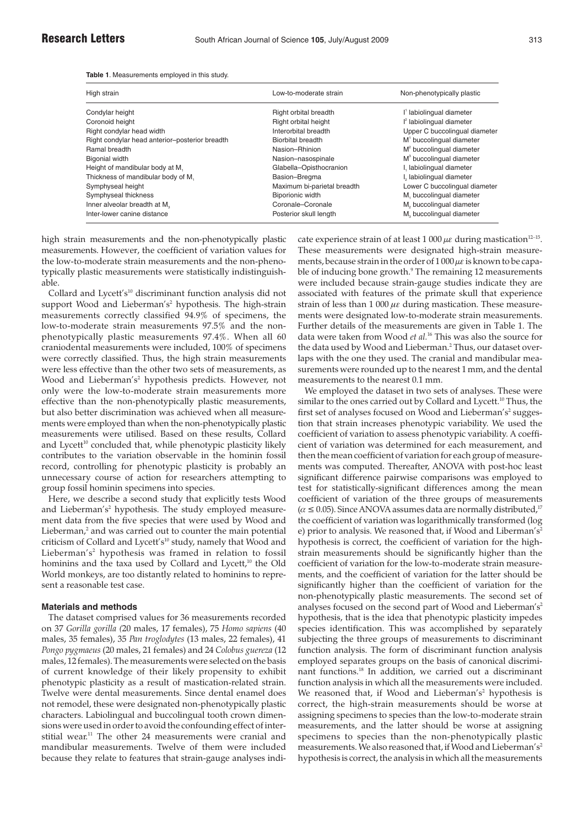**Table 1**. Measurements employed in this study.

| High strain                                    | Low-to-moderate strain      | Non-phenotypically plastic           |  |
|------------------------------------------------|-----------------------------|--------------------------------------|--|
| Condylar height                                | Right orbital breadth       | I <sup>1</sup> labiolingual diameter |  |
| Coronoid height                                | Right orbital height        | $I2$ labiolingual diameter           |  |
| Right condylar head width                      | Interorbital breadth        | Upper C buccolingual diameter        |  |
| Right condylar head anterior-posterior breadth | Biorbital breadth           | M <sup>1</sup> buccolingual diameter |  |
| Ramal breadth                                  | Nasion-Rhinion              | $M2$ buccolingual diameter           |  |
| <b>Bigonial width</b>                          | Nasion-nasospinale          | $M3$ buccolingual diameter           |  |
| Height of mandibular body at M.                | Glabella-Opisthocranion     | I, labiolingual diameter             |  |
| Thickness of mandibular body of M.             | Basion-Bregma               | I. labiolingual diameter             |  |
| Symphyseal height                              | Maximum bi-parietal breadth | Lower C buccolingual diameter        |  |
| Symphyseal thickness                           | Biporionic width            | M. buccolingual diameter             |  |
| Inner alveolar breadth at M <sub>2</sub>       | Coronale-Coronale           | M <sub>2</sub> buccolingual diameter |  |
| Inter-lower canine distance                    | Posterior skull length      | M. buccolingual diameter             |  |

high strain measurements and the non-phenotypically plastic measurements. However, the coefficient of variation values for the low-to-moderate strain measurements and the non-phenotypically plastic measurements were statistically indistinguishable.

Collard and Lycett's<sup>10</sup> discriminant function analysis did not support Wood and Lieberman's<sup>2</sup> hypothesis. The high-strain measurements correctly classified 94.9% of specimens, the low-to-moderate strain measurements 97.5% and the nonphenotypically plastic measurements 97.4%. When all 60 craniodental measurements were included, 100% of specimens were correctly classified. Thus, the high strain measurements were less effective than the other two sets of measurements, as Wood and Lieberman's<sup>2</sup> hypothesis predicts. However, not only were the low-to-moderate strain measurements more effective than the non-phenotypically plastic measurements, but also better discrimination was achieved when all measurements were employed than when the non-phenotypically plastic measurements were utilised. Based on these results, Collard and Lycett<sup>10</sup> concluded that, while phenotypic plasticity likely contributes to the variation observable in the hominin fossil record, controlling for phenotypic plasticity is probably an unnecessary course of action for researchers attempting to group fossil hominin specimens into species.

Here, we describe a second study that explicitly tests Wood and Lieberman's<sup>2</sup> hypothesis. The study employed measurement data from the five species that were used by Wood and Lieberman,<sup>2</sup> and was carried out to counter the main potential criticism of Collard and Lycett's<sup>10</sup> study, namely that Wood and Lieberman's<sup>2</sup> hypothesis was framed in relation to fossil hominins and the taxa used by Collard and Lycett,<sup>10</sup> the Old World monkeys, are too distantly related to hominins to represent a reasonable test case.

## **Materials and methods**

The dataset comprised values for 36 measurements recorded on 37 *Gorilla gorilla (*20 males, 17 females), 75 *Homo sapiens* (40 males, 35 females), 35 *Pan troglodytes* (13 males, 22 females), 41 *Pongo pygmaeus* (20 males, 21 females) and 24 *Colobus guereza* (12 males, 12 females). The measurements were selected on the basis of current knowledge of their likely propensity to exhibit phenotypic plasticity as a result of mastication-related strain. Twelve were dental measurements. Since dental enamel does not remodel, these were designated non-phenotypically plastic characters. Labiolingual and buccolingual tooth crown dimensions were used in order to avoid the confounding effect of interstitial wear.<sup>11</sup> The other 24 measurements were cranial and mandibular measurements. Twelve of them were included because they relate to features that strain-gauge analyses indi-

cate experience strain of at least  $1\,000\,\mu\text{g}$  during mastication<sup>12–15</sup>. These measurements were designated high-strain measurements, because strain in the order of  $1000 \mu\epsilon$  is known to be capable of inducing bone growth.<sup>9</sup> The remaining 12 measurements were included because strain-gauge studies indicate they are associated with features of the primate skull that experience strain of less than 1 000  $\mu \varepsilon$  during mastication. These measurements were designated low-to-moderate strain measurements. Further details of the measurements are given in Table 1. The data were taken from Wood *et al.*<sup>16</sup> This was also the source for the data used by Wood and Lieberman.<sup>2</sup> Thus, our dataset overlaps with the one they used. The cranial and mandibular measurements were rounded up to the nearest 1 mm, and the dental measurements to the nearest 0.1 mm.

We employed the dataset in two sets of analyses. These were similar to the ones carried out by Collard and Lycett.<sup>10</sup> Thus, the first set of analyses focused on Wood and Lieberman's<sup>2</sup> suggestion that strain increases phenotypic variability. We used the coefficient of variation to assess phenotypic variability. A coefficient of variation was determined for each measurement, and then the mean coefficient of variation for each group of measurements was computed. Thereafter, ANOVA with post-hoc least significant difference pairwise comparisons was employed to test for statistically-significant differences among the mean coefficient of variation of the three groups of measurements  $(\alpha \le 0.05)$ . Since ANOVA assumes data are normally distributed,<sup>17</sup> the coefficient of variation was logarithmically transformed (log e) prior to analysis. We reasoned that, if Wood and Liberman's<sup>2</sup> hypothesis is correct, the coefficient of variation for the highstrain measurements should be significantly higher than the coefficient of variation for the low-to-moderate strain measurements, and the coefficient of variation for the latter should be significantly higher than the coefficient of variation for the non-phenotypically plastic measurements. The second set of analyses focused on the second part of Wood and Lieberman's<sup>2</sup> hypothesis, that is the idea that phenotypic plasticity impedes species identification. This was accomplished by separately subjecting the three groups of measurements to discriminant function analysis. The form of discriminant function analysis employed separates groups on the basis of canonical discriminant functions.18 In addition, we carried out a discriminant function analysis in which all the measurements were included. We reasoned that, if Wood and Lieberman's<sup>2</sup> hypothesis is correct, the high-strain measurements should be worse at assigning specimens to species than the low-to-moderate strain measurements, and the latter should be worse at assigning specimens to species than the non-phenotypically plastic measurements. We also reasoned that, if Wood and Lieberman's<sup>2</sup> hypothesis is correct, the analysis in which all the measurements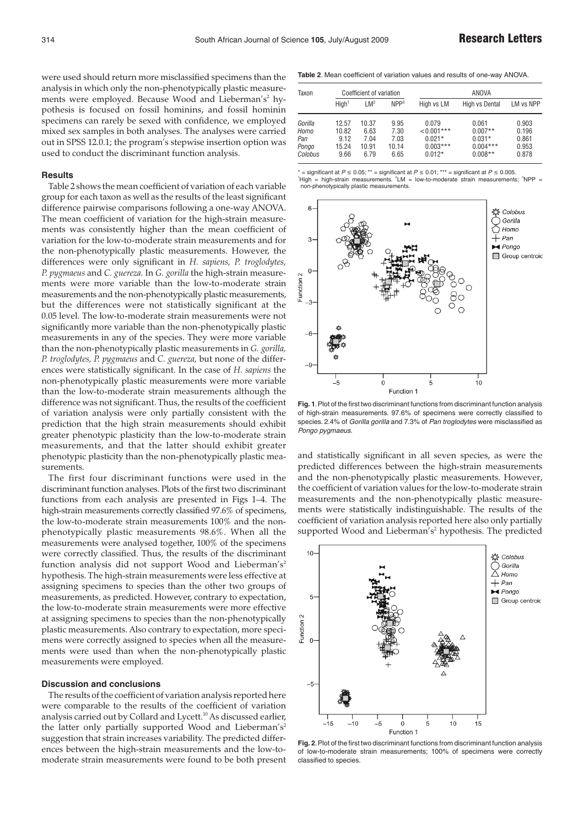were used should return more misclassified specimens than the analysis in which only the non-phenotypically plastic measurements were employed. Because Wood and Lieberman's<sup>2</sup> hypothesis is focused on fossil hominins, and fossil hominin specimens can rarely be sexed with confidence, we employed mixed sex samples in both analyses. The analyses were carried out in SPSS 12.0.1; the program's stepwise insertion option was used to conduct the discriminant function analysis.

#### **Results**

Table 2 shows the mean coefficient of variation of each variable group for each taxon as well as the results of the least significant difference pairwise comparisons following a one-way ANOVA. The mean coefficient of variation for the high-strain measurements was consistently higher than the mean coefficient of variation for the low-to-moderate strain measurements and for the non-phenotypically plastic measurements. However, the differences were only significant in *H. sapiens, P. troglodytes, P. pygmaeus* and *C. guereza.* In *G. gorilla* the high-strain measurements were more variable than the low-to-moderate strain measurements and the non-phenotypically plastic measurements, but the differences were not statistically significant at the 0.05 level. The low-to-moderate strain measurements were not significantly more variable than the non-phenotypically plastic measurements in any of the species. They were more variable than the non-phenotypically plastic measurements in *G. gorilla, P. troglodytes, P. pygmaeus* and *C. guereza,* but none of the differences were statistically significant. In the case of *H. sapiens* the non-phenotypically plastic measurements were more variable than the low-to-moderate strain measurements although the difference was not significant. Thus, the results of the coefficient of variation analysis were only partially consistent with the prediction that the high strain measurements should exhibit greater phenotypic plasticity than the low-to-moderate strain measurements, and that the latter should exhibit greater phenotypic plasticity than the non-phenotypically plastic measurements.

The first four discriminant functions were used in the discriminant function analyses. Plots of the first two discriminant functions from each analysis are presented in Figs 1–4. The high-strain measurements correctly classified 97.6% of specimens, the low-to-moderate strain measurements 100% and the nonphenotypically plastic measurements 98.6%. When all the measurements were analysed together, 100% of the specimens were correctly classified. Thus, the results of the discriminant function analysis did not support Wood and Lieberman's<sup>2</sup> hypothesis. The high-strain measurements were less effective at assigning specimens to species than the other two groups of measurements, as predicted. However, contrary to expectation, the low-to-moderate strain measurements were more effective at assigning specimens to species than the non-phenotypically plastic measurements. Also contrary to expectation, more specimens were correctly assigned to species when all the measurements were used than when the non-phenotypically plastic measurements were employed.

## **Discussion and conclusions**

The results of the coefficient of variation analysis reported here were comparable to the results of the coefficient of variation analysis carried out by Collard and Lycett.<sup>10</sup> As discussed earlier, the latter only partially supported Wood and Lieberman's<sup>2</sup> suggestion that strain increases variability. The predicted differences between the high-strain measurements and the low-tomoderate strain measurements were found to be both present **Table 2**. Mean coefficient of variation values and results of one-way ANOVA.

| Taxon   | Coefficient of variation |        | ANOVA            |              |                |           |
|---------|--------------------------|--------|------------------|--------------|----------------|-----------|
|         | High <sup>1</sup>        | $LM^2$ | NPP <sup>3</sup> | High vs LM   | High vs Dental | LM vs NPP |
| Gorilla | 12.57                    | 10.37  | 9.95             | 0.079        | 0.061          | 0.903     |
| Homo    | 10.82                    | 6.63   | 7.30             | $< 0.001***$ | $0.007**$      | 0.196     |
| Pan     | 9.12                     | 7.04   | 7.03             | $0.021*$     | $0.031*$       | 0.861     |
| Pongo   | 15.24                    | 10.91  | 10.14            | $0.003***$   | $0.004***$     | 0.953     |
| Colobus | 9.66                     | 6.79   | 6.65             | $0.012*$     | $0.008**$      | 0.878     |

\* = significant at P ≤ 0.05; \*\* = significant at P ≤ 0.01; \*\*\* = significant at P ≤ 0.005.<br>'High = high-strain measurements. °LM = low-to-moderate strain measurements; °NPP = non-phenotypically plastic measurements.



**Fig. 1**.Plot of the first two discriminant functions from discriminant function analysis of high-strain measurements. 97.6% of specimens were correctly classified to species. 2.4% of Gorilla gorilla and 7.3% of Pan troglodytes were misclassified as Pongo pygmaeus.

and statistically significant in all seven species, as were the predicted differences between the high-strain measurements and the non-phenotypically plastic measurements. However, the coefficient of variation values for the low-to-moderate strain measurements and the non-phenotypically plastic measurements were statistically indistinguishable. The results of the coefficient of variation analysis reported here also only partially supported Wood and Lieberman's<sup>2</sup> hypothesis. The predicted



**Fig. 2**.Plot of the first two discriminant functions from discriminant function analysis of low-to-moderate strain measurements; 100% of specimens were correctly classified to species.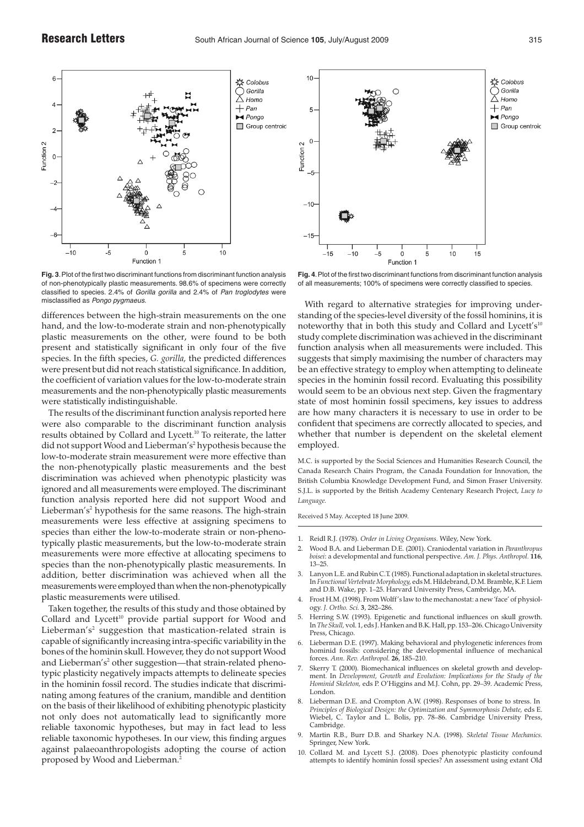

**Fig. 3**.Plot of the first two discriminant functions from discriminant function analysis of non-phenotypically plastic measurements. 98.6% of specimens were correctly classified to species. 2.4% of Gorilla gorilla and 2.4% of Pan troglodytes were misclassified as Pongo pygmaeus.

differences between the high-strain measurements on the one hand, and the low-to-moderate strain and non-phenotypically plastic measurements on the other, were found to be both present and statistically significant in only four of the five species. In the fifth species, *G. gorilla,* the predicted differences were present but did not reach statistical significance. In addition, the coefficient of variation values for the low-to-moderate strain measurements and the non-phenotypically plastic measurements were statistically indistinguishable.

The results of the discriminant function analysis reported here were also comparable to the discriminant function analysis results obtained by Collard and Lycett.<sup>10</sup> To reiterate, the latter did not support Wood and Lieberman's<sup>2</sup> hypothesis because the low-to-moderate strain measurement were more effective than the non-phenotypically plastic measurements and the best discrimination was achieved when phenotypic plasticity was ignored and all measurements were employed. The discriminant function analysis reported here did not support Wood and Lieberman's<sup>2</sup> hypothesis for the same reasons. The high-strain measurements were less effective at assigning specimens to species than either the low-to-moderate strain or non-phenotypically plastic measurements, but the low-to-moderate strain measurements were more effective at allocating specimens to species than the non-phenotypically plastic measurements. In addition, better discrimination was achieved when all the measurements were employed than when the non-phenotypically plastic measurements were utilised.

Taken together, the results of this study and those obtained by Collard and Lycett<sup>10</sup> provide partial support for Wood and Lieberman's<sup>2</sup> suggestion that mastication-related strain is capable of significantly increasing intra-specific variability in the bones of the hominin skull. However, they do not support Wood and Lieberman's<sup>2</sup> other suggestion—that strain-related phenotypic plasticity negatively impacts attempts to delineate species in the hominin fossil record. The studies indicate that discriminating among features of the cranium, mandible and dentition on the basis of their likelihood of exhibiting phenotypic plasticity not only does not automatically lead to significantly more reliable taxonomic hypotheses, but may in fact lead to less reliable taxonomic hypotheses. In our view, this finding argues against palaeoanthropologists adopting the course of action proposed by Wood and Lieberman.2



**Fig. 4**.Plot of the first two discriminant functions from discriminant function analysis of all measurements; 100% of specimens were correctly classified to species.

With regard to alternative strategies for improving understanding of the species-level diversity of the fossil hominins, it is noteworthy that in both this study and Collard and Lycett's<sup>10</sup> study complete discrimination was achieved in the discriminant function analysis when all measurements were included. This suggests that simply maximising the number of characters may be an effective strategy to employ when attempting to delineate species in the hominin fossil record. Evaluating this possibility would seem to be an obvious next step. Given the fragmentary state of most hominin fossil specimens, key issues to address are how many characters it is necessary to use in order to be confident that specimens are correctly allocated to species, and whether that number is dependent on the skeletal element employed.

M.C. is supported by the Social Sciences and Humanities Research Council, the Canada Research Chairs Program, the Canada Foundation for Innovation, the British Columbia Knowledge Development Fund, and Simon Fraser University. S.J.L. is supported by the British Academy Centenary Research Project, *Lucy to Language.*

Received 5 May. Accepted 18 June 2009.

- 1. Reidl R.J. (1978). *Order in Living Organisms.* Wiley, New York.
- 2. Wood B.A. and Lieberman D.E. (2001). Craniodental variation in *Paranthropus boisei*: a developmental and functional perspective. *Am. J. Phys. Anthropol.* **116**, 13–25.
- 3. Lanyon L.E. and Rubin C.T. (1985). Functional adaptation in skeletal structures. In *Functional Vertebrate Morphology,* eds M. Hildebrand, D.M. Bramble, K.F. Liem and D.B. Wake, pp. 1–25. Harvard University Press, Cambridge, MA.
- 4. Frost H.M. (1998). From Wolff's law to the mechanostat: a new 'face' of physiology. *J. Ortho. Sci.* **3**, 282–286.
- 5. Herring S.W. (1993). Epigenetic and functional influences on skull growth. In *The Skull,* vol. 1, eds J. Hanken and B.K. Hall, pp. 153–206. Chicago University Press, Chicago.
- 6. Lieberman D.E. (1997). Making behavioral and phylogenetic inferences from hominid fossils: considering the developmental influence of mechanical forces. *Ann. Rev. Anthropol.* **26**, 185–210.
- 7. Skerry T. (2000). Biomechanical influences on skeletal growth and develop-ment. In *Development, Growth and Evolution: Implications for the Study of the Hominid Skeleton,* eds P. O'Higgins and M.J. Cohn, pp. 29–39. Academic Press, London.
- Lieberman D.E. and Crompton A.W. (1998). Responses of bone to stress. In *Principles of Biological Design: the Optimization and Symmorphosis Debate,* eds E. Wiebel, C. Taylor and L. Bolis, pp. 78–86. Cambridge University Press, Cambridge.
- 9. Martin R.B., Burr D.B. and Sharkey N.A. (1998). *Skeletal Tissue Mechanics.* Springer, New York.
- 10. Collard M. and Lycett S.J. (2008). Does phenotypic plasticity confound attempts to identify hominin fossil species? An assessment using extant Old